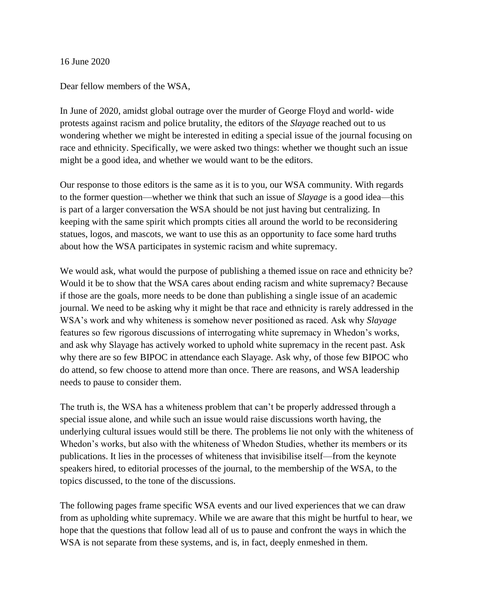16 June 2020

Dear fellow members of the WSA,

In June of 2020, amidst global outrage over the murder of George Floyd and world- wide protests against racism and police brutality, the editors of the *Slayage* reached out to us wondering whether we might be interested in editing a special issue of the journal focusing on race and ethnicity. Specifically, we were asked two things: whether we thought such an issue might be a good idea, and whether we would want to be the editors.

Our response to those editors is the same as it is to you, our WSA community. With regards to the former question—whether we think that such an issue of *Slayage* is a good idea—this is part of a larger conversation the WSA should be not just having but centralizing. In keeping with the same spirit which prompts cities all around the world to be reconsidering statues, logos, and mascots, we want to use this as an opportunity to face some hard truths about how the WSA participates in systemic racism and white supremacy.

We would ask, what would the purpose of publishing a themed issue on race and ethnicity be? Would it be to show that the WSA cares about ending racism and white supremacy? Because if those are the goals, more needs to be done than publishing a single issue of an academic journal. We need to be asking why it might be that race and ethnicity is rarely addressed in the WSA's work and why whiteness is somehow never positioned as raced. Ask why *Slayage*  features so few rigorous discussions of interrogating white supremacy in Whedon's works, and ask why Slayage has actively worked to uphold white supremacy in the recent past. Ask why there are so few BIPOC in attendance each Slayage. Ask why, of those few BIPOC who do attend, so few choose to attend more than once. There are reasons, and WSA leadership needs to pause to consider them.

The truth is, the WSA has a whiteness problem that can't be properly addressed through a special issue alone, and while such an issue would raise discussions worth having, the underlying cultural issues would still be there. The problems lie not only with the whiteness of Whedon's works, but also with the whiteness of Whedon Studies, whether its members or its publications. It lies in the processes of whiteness that invisibilise itself—from the keynote speakers hired, to editorial processes of the journal, to the membership of the WSA, to the topics discussed, to the tone of the discussions.

The following pages frame specific WSA events and our lived experiences that we can draw from as upholding white supremacy. While we are aware that this might be hurtful to hear, we hope that the questions that follow lead all of us to pause and confront the ways in which the WSA is not separate from these systems, and is, in fact, deeply enmeshed in them.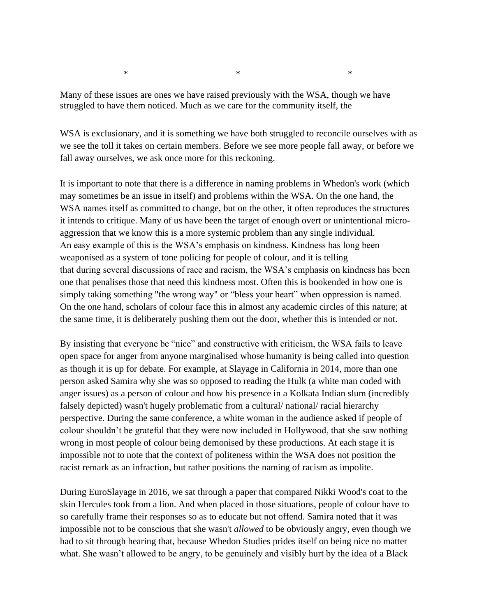$*$   $*$ 

Many of these issues are ones we have raised previously with the WSA, though we have struggled to have them noticed. Much as we care for the community itself, the

WSA is exclusionary, and it is something we have both struggled to reconcile ourselves with as we see the toll it takes on certain members. Before we see more people fall away, or before we fall away ourselves, we ask once more for this reckoning.

It is important to note that there is a difference in naming problems in Whedon's work (which may sometimes be an issue in itself) and problems within the WSA. On the one hand, the WSA names itself as committed to change, but on the other, it often reproduces the structures it intends to critique. Many of us have been the target of enough overt or unintentional microaggression that we know this is a more systemic problem than any single individual. An easy example of this is the WSA's emphasis on kindness. Kindness has long been weaponised as a system of tone policing for people of colour, and it is telling that during several discussions of race and racism, the WSA's emphasis on kindness has been one that penalises those that need this kindness most. Often this is bookended in how one is simply taking something "the wrong way" or "bless your heart" when oppression is named. On the one hand, scholars of colour face this in almost any academic circles of this nature; at the same time, it is deliberately pushing them out the door, whether this is intended or not.

By insisting that everyone be "nice" and constructive with criticism, the WSA fails to leave open space for anger from anyone marginalised whose humanity is being called into question as though it is up for debate. For example, at Slayage in California in 2014, more than one person asked Samira why she was so opposed to reading the Hulk (a white man coded with anger issues) as a person of colour and how his presence in a Kolkata Indian slum (incredibly falsely depicted) wasn't hugely problematic from a cultural/ national/ racial hierarchy perspective. During the same conference, a white woman in the audience asked if people of colour shouldn't be grateful that they were now included in Hollywood, that she saw nothing wrong in most people of colour being demonised by these productions. At each stage it is impossible not to note that the context of politeness within the WSA does not position the racist remark as an infraction, but rather positions the naming of racism as impolite.

During EuroSlayage in 2016, we sat through a paper that compared Nikki Wood's coat to the skin Hercules took from a lion. And when placed in those situations, people of colour have to so carefully frame their responses so as to educate but not offend. Samira noted that it was impossible not to be conscious that she wasn't *allowed* to be obviously angry, even though we had to sit through hearing that, because Whedon Studies prides itself on being nice no matter what. She wasn't allowed to be angry, to be genuinely and visibly hurt by the idea of a Black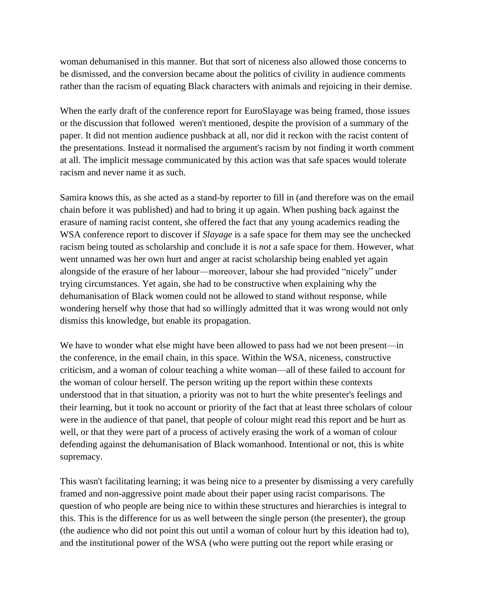woman dehumanised in this manner. But that sort of niceness also allowed those concerns to be dismissed, and the conversion became about the politics of civility in audience comments rather than the racism of equating Black characters with animals and rejoicing in their demise.

When the early draft of the conference report for EuroSlayage was being framed, those issues or the discussion that followed weren't mentioned, despite the provision of a summary of the paper. It did not mention audience pushback at all, nor did it reckon with the racist content of the presentations. Instead it normalised the argument's racism by not finding it worth comment at all. The implicit message communicated by this action was that safe spaces would tolerate racism and never name it as such.

Samira knows this, as she acted as a stand-by reporter to fill in (and therefore was on the email chain before it was published) and had to bring it up again. When pushing back against the erasure of naming racist content, she offered the fact that any young academics reading the WSA conference report to discover if *Slayage* is a safe space for them may see the unchecked racism being touted as scholarship and conclude it is *not* a safe space for them. However, what went unnamed was her own hurt and anger at racist scholarship being enabled yet again alongside of the erasure of her labour—moreover, labour she had provided "nicely" under trying circumstances. Yet again, she had to be constructive when explaining why the dehumanisation of Black women could not be allowed to stand without response, while wondering herself why those that had so willingly admitted that it was wrong would not only dismiss this knowledge, but enable its propagation.

We have to wonder what else might have been allowed to pass had we not been present—in the conference, in the email chain, in this space. Within the WSA, niceness, constructive criticism, and a woman of colour teaching a white woman—all of these failed to account for the woman of colour herself. The person writing up the report within these contexts understood that in that situation, a priority was not to hurt the white presenter's feelings and their learning, but it took no account or priority of the fact that at least three scholars of colour were in the audience of that panel, that people of colour might read this report and be hurt as well, or that they were part of a process of actively erasing the work of a woman of colour defending against the dehumanisation of Black womanhood. Intentional or not, this is white supremacy.

This wasn't facilitating learning; it was being nice to a presenter by dismissing a very carefully framed and non-aggressive point made about their paper using racist comparisons. The question of who people are being nice to within these structures and hierarchies is integral to this. This is the difference for us as well between the single person (the presenter), the group (the audience who did not point this out until a woman of colour hurt by this ideation had to), and the institutional power of the WSA (who were putting out the report while erasing or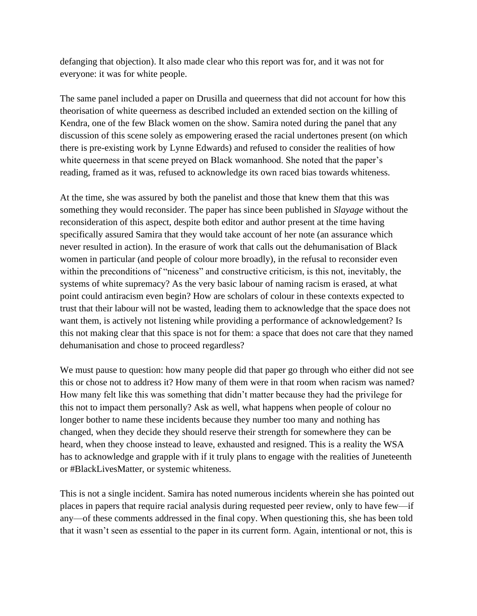defanging that objection). It also made clear who this report was for, and it was not for everyone: it was for white people.

The same panel included a paper on Drusilla and queerness that did not account for how this theorisation of white queerness as described included an extended section on the killing of Kendra, one of the few Black women on the show. Samira noted during the panel that any discussion of this scene solely as empowering erased the racial undertones present (on which there is pre-existing work by Lynne Edwards) and refused to consider the realities of how white queerness in that scene preyed on Black womanhood. She noted that the paper's reading, framed as it was, refused to acknowledge its own raced bias towards whiteness.

At the time, she was assured by both the panelist and those that knew them that this was something they would reconsider. The paper has since been published in *Slayage* without the reconsideration of this aspect, despite both editor and author present at the time having specifically assured Samira that they would take account of her note (an assurance which never resulted in action). In the erasure of work that calls out the dehumanisation of Black women in particular (and people of colour more broadly), in the refusal to reconsider even within the preconditions of "niceness" and constructive criticism, is this not, inevitably, the systems of white supremacy? As the very basic labour of naming racism is erased, at what point could antiracism even begin? How are scholars of colour in these contexts expected to trust that their labour will not be wasted, leading them to acknowledge that the space does not want them, is actively not listening while providing a performance of acknowledgement? Is this not making clear that this space is not for them: a space that does not care that they named dehumanisation and chose to proceed regardless?

We must pause to question: how many people did that paper go through who either did not see this or chose not to address it? How many of them were in that room when racism was named? How many felt like this was something that didn't matter because they had the privilege for this not to impact them personally? Ask as well, what happens when people of colour no longer bother to name these incidents because they number too many and nothing has changed, when they decide they should reserve their strength for somewhere they can be heard, when they choose instead to leave, exhausted and resigned. This is a reality the WSA has to acknowledge and grapple with if it truly plans to engage with the realities of Juneteenth or #BlackLivesMatter, or systemic whiteness.

This is not a single incident. Samira has noted numerous incidents wherein she has pointed out places in papers that require racial analysis during requested peer review, only to have few—if any—of these comments addressed in the final copy. When questioning this, she has been told that it wasn't seen as essential to the paper in its current form. Again, intentional or not, this is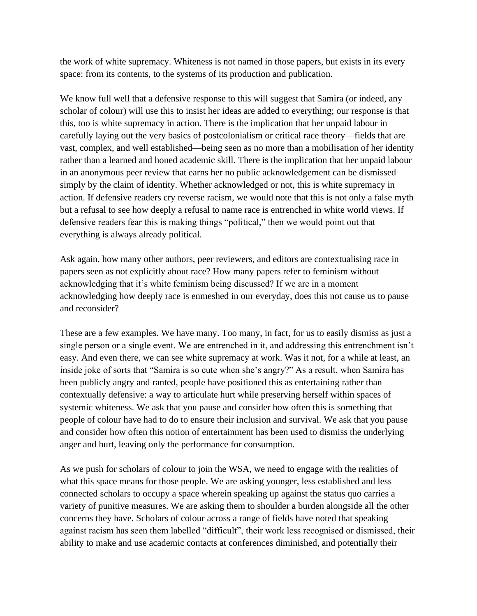the work of white supremacy. Whiteness is not named in those papers, but exists in its every space: from its contents, to the systems of its production and publication.

We know full well that a defensive response to this will suggest that Samira (or indeed, any scholar of colour) will use this to insist her ideas are added to everything; our response is that this, too is white supremacy in action. There is the implication that her unpaid labour in carefully laying out the very basics of postcolonialism or critical race theory—fields that are vast, complex, and well established—being seen as no more than a mobilisation of her identity rather than a learned and honed academic skill. There is the implication that her unpaid labour in an anonymous peer review that earns her no public acknowledgement can be dismissed simply by the claim of identity. Whether acknowledged or not, this is white supremacy in action. If defensive readers cry reverse racism, we would note that this is not only a false myth but a refusal to see how deeply a refusal to name race is entrenched in white world views. If defensive readers fear this is making things "political," then we would point out that everything is always already political.

Ask again, how many other authors, peer reviewers, and editors are contextualising race in papers seen as not explicitly about race? How many papers refer to feminism without acknowledging that it's white feminism being discussed? If we are in a moment acknowledging how deeply race is enmeshed in our everyday, does this not cause us to pause and reconsider?

These are a few examples. We have many. Too many, in fact, for us to easily dismiss as just a single person or a single event. We are entrenched in it, and addressing this entrenchment isn't easy. And even there, we can see white supremacy at work. Was it not, for a while at least, an inside joke of sorts that "Samira is so cute when she's angry?" As a result, when Samira has been publicly angry and ranted, people have positioned this as entertaining rather than contextually defensive: a way to articulate hurt while preserving herself within spaces of systemic whiteness. We ask that you pause and consider how often this is something that people of colour have had to do to ensure their inclusion and survival. We ask that you pause and consider how often this notion of entertainment has been used to dismiss the underlying anger and hurt, leaving only the performance for consumption.

As we push for scholars of colour to join the WSA, we need to engage with the realities of what this space means for those people. We are asking younger, less established and less connected scholars to occupy a space wherein speaking up against the status quo carries a variety of punitive measures. We are asking them to shoulder a burden alongside all the other concerns they have. Scholars of colour across a range of fields have noted that speaking against racism has seen them labelled "difficult", their work less recognised or dismissed, their ability to make and use academic contacts at conferences diminished, and potentially their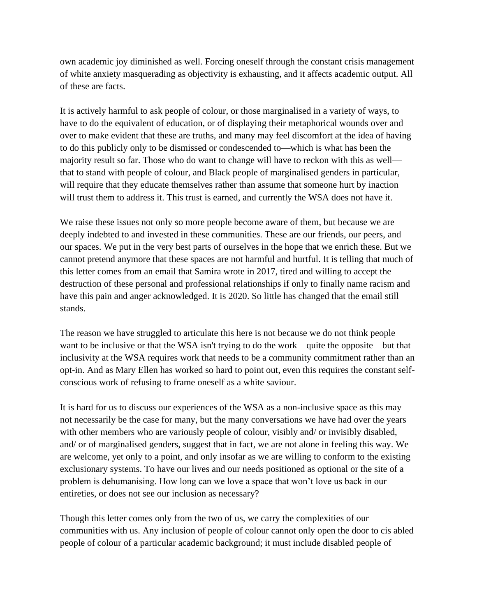own academic joy diminished as well. Forcing oneself through the constant crisis management of white anxiety masquerading as objectivity is exhausting, and it affects academic output. All of these are facts.

It is actively harmful to ask people of colour, or those marginalised in a variety of ways, to have to do the equivalent of education, or of displaying their metaphorical wounds over and over to make evident that these are truths, and many may feel discomfort at the idea of having to do this publicly only to be dismissed or condescended to—which is what has been the majority result so far. Those who do want to change will have to reckon with this as well that to stand with people of colour, and Black people of marginalised genders in particular, will require that they educate themselves rather than assume that someone hurt by inaction will trust them to address it. This trust is earned, and currently the WSA does not have it.

We raise these issues not only so more people become aware of them, but because we are deeply indebted to and invested in these communities. These are our friends, our peers, and our spaces. We put in the very best parts of ourselves in the hope that we enrich these. But we cannot pretend anymore that these spaces are not harmful and hurtful. It is telling that much of this letter comes from an email that Samira wrote in 2017, tired and willing to accept the destruction of these personal and professional relationships if only to finally name racism and have this pain and anger acknowledged. It is 2020. So little has changed that the email still stands.

The reason we have struggled to articulate this here is not because we do not think people want to be inclusive or that the WSA isn't trying to do the work—quite the opposite—but that inclusivity at the WSA requires work that needs to be a community commitment rather than an opt-in. And as Mary Ellen has worked so hard to point out, even this requires the constant selfconscious work of refusing to frame oneself as a white saviour.

It is hard for us to discuss our experiences of the WSA as a non-inclusive space as this may not necessarily be the case for many, but the many conversations we have had over the years with other members who are variously people of colour, visibly and/ or invisibly disabled, and/ or of marginalised genders, suggest that in fact, we are not alone in feeling this way. We are welcome, yet only to a point, and only insofar as we are willing to conform to the existing exclusionary systems. To have our lives and our needs positioned as optional or the site of a problem is dehumanising. How long can we love a space that won't love us back in our entireties, or does not see our inclusion as necessary?

Though this letter comes only from the two of us, we carry the complexities of our communities with us. Any inclusion of people of colour cannot only open the door to cis abled people of colour of a particular academic background; it must include disabled people of